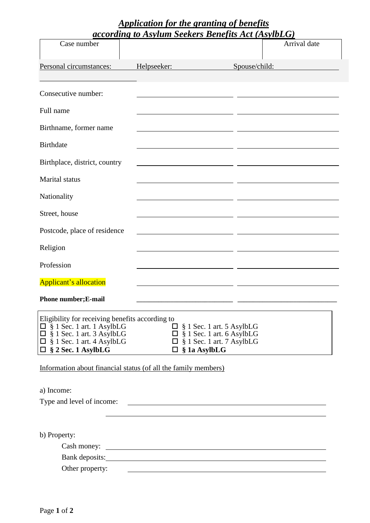## *Application for the granting of benefits according to Asylum Seekers Benefits Act (AsylbLG)*

| Case number                                                                                                                                                                                 | <u>accoraing to Asylum Seekers Benefits Act (AsyloLG)</u>                                                             |                                                                                                          | Arrival date |
|---------------------------------------------------------------------------------------------------------------------------------------------------------------------------------------------|-----------------------------------------------------------------------------------------------------------------------|----------------------------------------------------------------------------------------------------------|--------------|
| Personal circumstances:                                                                                                                                                                     | Helpseeker:                                                                                                           | Spouse/child:                                                                                            |              |
|                                                                                                                                                                                             |                                                                                                                       |                                                                                                          |              |
| Consecutive number:                                                                                                                                                                         |                                                                                                                       |                                                                                                          |              |
| Full name                                                                                                                                                                                   |                                                                                                                       |                                                                                                          |              |
| Birthname, former name                                                                                                                                                                      |                                                                                                                       |                                                                                                          |              |
| <b>Birthdate</b>                                                                                                                                                                            |                                                                                                                       |                                                                                                          |              |
| Birthplace, district, country                                                                                                                                                               |                                                                                                                       |                                                                                                          |              |
| <b>Marital</b> status                                                                                                                                                                       |                                                                                                                       |                                                                                                          |              |
| Nationality                                                                                                                                                                                 |                                                                                                                       |                                                                                                          |              |
| Street, house                                                                                                                                                                               |                                                                                                                       |                                                                                                          |              |
| Postcode, place of residence                                                                                                                                                                |                                                                                                                       |                                                                                                          |              |
| Religion                                                                                                                                                                                    |                                                                                                                       |                                                                                                          |              |
| Profession                                                                                                                                                                                  |                                                                                                                       |                                                                                                          |              |
| <b>Applicant's allocation</b>                                                                                                                                                               |                                                                                                                       |                                                                                                          |              |
| Phone number; E-mail                                                                                                                                                                        |                                                                                                                       |                                                                                                          |              |
| Eligibility for receiving benefits according to<br>$\square$ § 1 Sec. 1 art. 1 AsylbLG<br>$\Box$ § 1 Sec. 1 art. 3 AsylbLG<br>$\Box$ § 1 Sec. 1 art. 4 AsylbLG<br>$\Box$ § 2 Sec. 1 AsylbLG | $\square$ § 1a AsylbLG                                                                                                | $\Box$ § 1 Sec. 1 art. 5 AsylbLG<br>$\Box$ § 1 Sec. 1 art. 6 AsylbLG<br>$\Box$ § 1 Sec. 1 art. 7 AsylbLG |              |
| Information about financial status (of all the family members)                                                                                                                              |                                                                                                                       |                                                                                                          |              |
| a) Income:<br>Type and level of income:                                                                                                                                                     | <u> 1989 - Andrea Barbara, Amerikaansk politiker (</u>                                                                |                                                                                                          |              |
| b) Property:                                                                                                                                                                                |                                                                                                                       |                                                                                                          |              |
|                                                                                                                                                                                             |                                                                                                                       |                                                                                                          |              |
| Other property:                                                                                                                                                                             | <u> 1980 - Andrea State Barbara, amerikan personal di sebagai personal di sebagai personal di sebagai personal di</u> |                                                                                                          |              |